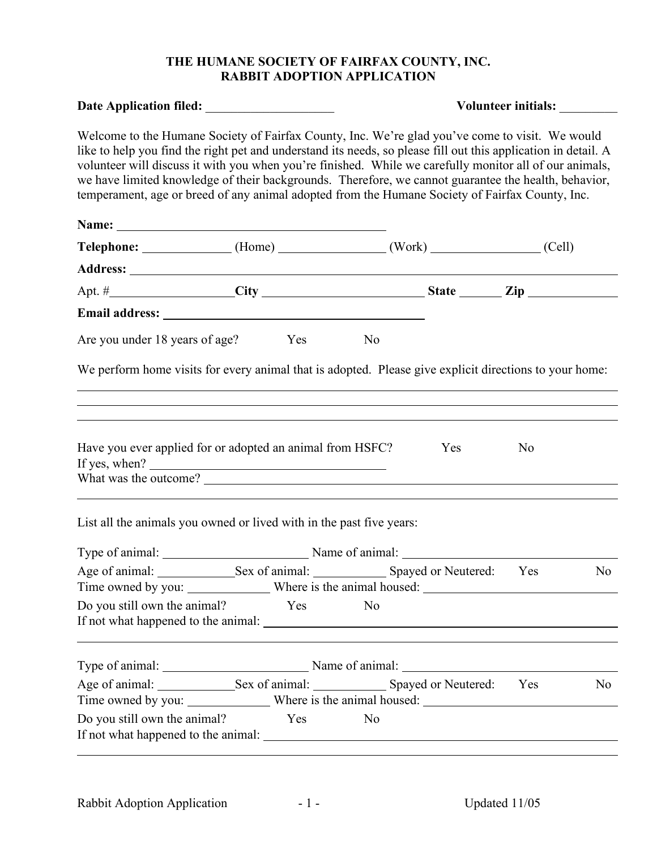## **THE HUMANE SOCIETY OF FAIRFAX COUNTY, INC. RABBIT ADOPTION APPLICATION**

| Date Application filed: _____________________                                                                                                                                                                                                                                                                                                                                                                                                                                                                                           |  |                |                                                                                         | Volunteer initials: _______ |    |  |  |
|-----------------------------------------------------------------------------------------------------------------------------------------------------------------------------------------------------------------------------------------------------------------------------------------------------------------------------------------------------------------------------------------------------------------------------------------------------------------------------------------------------------------------------------------|--|----------------|-----------------------------------------------------------------------------------------|-----------------------------|----|--|--|
| Welcome to the Humane Society of Fairfax County, Inc. We're glad you've come to visit. We would<br>like to help you find the right pet and understand its needs, so please fill out this application in detail. A<br>volunteer will discuss it with you when you're finished. While we carefully monitor all of our animals,<br>we have limited knowledge of their backgrounds. Therefore, we cannot guarantee the health, behavior,<br>temperament, age or breed of any animal adopted from the Humane Society of Fairfax County, Inc. |  |                |                                                                                         |                             |    |  |  |
|                                                                                                                                                                                                                                                                                                                                                                                                                                                                                                                                         |  |                |                                                                                         |                             |    |  |  |
| Telephone: _____________(Home) ____________(Work) ___________(Cell)                                                                                                                                                                                                                                                                                                                                                                                                                                                                     |  |                |                                                                                         |                             |    |  |  |
|                                                                                                                                                                                                                                                                                                                                                                                                                                                                                                                                         |  |                |                                                                                         |                             |    |  |  |
| Apt. $\#$ $\qquad \qquad \text{City}$ $\qquad \qquad \text{State}$ $\qquad \qquad \text{Zip}$                                                                                                                                                                                                                                                                                                                                                                                                                                           |  |                |                                                                                         |                             |    |  |  |
|                                                                                                                                                                                                                                                                                                                                                                                                                                                                                                                                         |  |                |                                                                                         |                             |    |  |  |
| Are you under 18 years of age? Yes No                                                                                                                                                                                                                                                                                                                                                                                                                                                                                                   |  |                |                                                                                         |                             |    |  |  |
| We perform home visits for every animal that is adopted. Please give explicit directions to your home:<br>,我们也不会有什么。""我们的人,我们也不会有什么?""我们的人,我们也不会有什么?""我们的人,我们也不会有什么?""我们的人,我们也不会有什么?""我们的人                                                                                                                                                                                                                                                                                                                                              |  |                | ,我们也不会有什么。""我们的人,我们也不会有什么?""我们的人,我们也不会有什么?""我们的人,我们也不会有什么?""我们的人,我们也不会有什么?""我们的人        |                             |    |  |  |
| Have you ever applied for or adopted an animal from HSFC?<br>If yes, when? $\qquad \qquad$                                                                                                                                                                                                                                                                                                                                                                                                                                              |  |                | Yes<br>,我们也不会有什么。""我们的人,我们也不会有什么?""我们的人,我们也不会有什么?""我们的人,我们也不会有什么?""我们的人,我们也不会有什么?""我们的人 | N <sub>0</sub>              |    |  |  |
| List all the animals you owned or lived with in the past five years:                                                                                                                                                                                                                                                                                                                                                                                                                                                                    |  |                |                                                                                         |                             |    |  |  |
| Type of animal: Name of animal: Name of animal:                                                                                                                                                                                                                                                                                                                                                                                                                                                                                         |  |                |                                                                                         |                             |    |  |  |
| Age of animal: Sex of animal: Sex Spayed or Neutered: Yes No                                                                                                                                                                                                                                                                                                                                                                                                                                                                            |  |                |                                                                                         |                             |    |  |  |
|                                                                                                                                                                                                                                                                                                                                                                                                                                                                                                                                         |  |                |                                                                                         |                             |    |  |  |
| Do you still own the animal? Yes No                                                                                                                                                                                                                                                                                                                                                                                                                                                                                                     |  |                |                                                                                         |                             |    |  |  |
| Type of animal: Name of animal: Name of animal:                                                                                                                                                                                                                                                                                                                                                                                                                                                                                         |  |                |                                                                                         |                             |    |  |  |
|                                                                                                                                                                                                                                                                                                                                                                                                                                                                                                                                         |  |                |                                                                                         |                             | No |  |  |
|                                                                                                                                                                                                                                                                                                                                                                                                                                                                                                                                         |  |                |                                                                                         |                             |    |  |  |
| Do you still own the animal? Yes                                                                                                                                                                                                                                                                                                                                                                                                                                                                                                        |  | N <sub>0</sub> |                                                                                         |                             |    |  |  |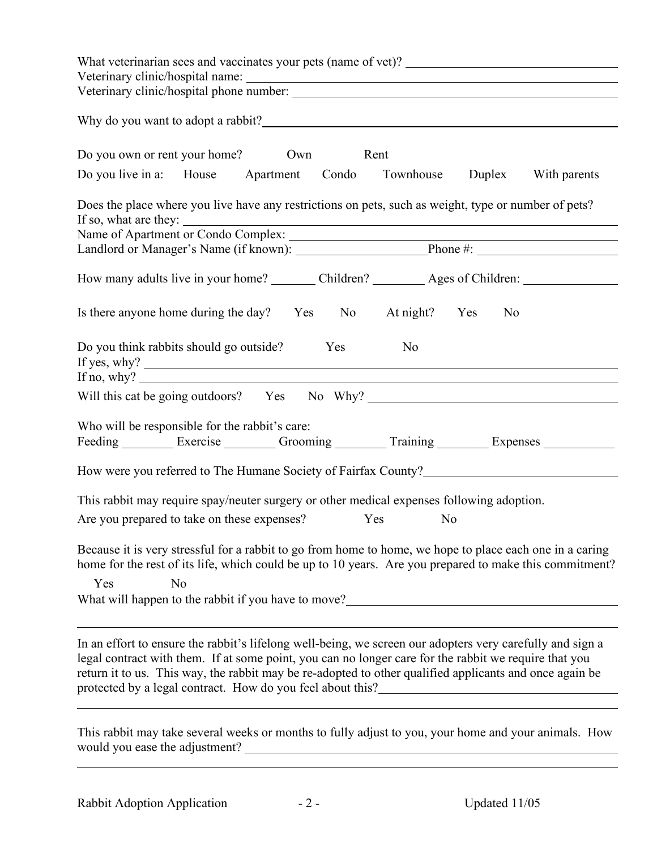| What veterinarian sees and vaccinates your pets (name of vet)?                                                                                                                                                                                                                                                                    |
|-----------------------------------------------------------------------------------------------------------------------------------------------------------------------------------------------------------------------------------------------------------------------------------------------------------------------------------|
|                                                                                                                                                                                                                                                                                                                                   |
|                                                                                                                                                                                                                                                                                                                                   |
| Do you own or rent your home? Own<br>Rent                                                                                                                                                                                                                                                                                         |
| Do you live in a: House Apartment Condo Townhouse Duplex With parents                                                                                                                                                                                                                                                             |
| Does the place where you live have any restrictions on pets, such as weight, type or number of pets?<br>If so, what are they: Name of Apartment or Condo Complex:                                                                                                                                                                 |
| Landlord or Manager's Name (if known). Phone #: Phone #:                                                                                                                                                                                                                                                                          |
|                                                                                                                                                                                                                                                                                                                                   |
| How many adults live in your home? ________ Children? _________ Ages of Children: _________________                                                                                                                                                                                                                               |
| Is there anyone home during the day? Yes No At night? Yes<br>$\overline{N_0}$                                                                                                                                                                                                                                                     |
| Do you think rabbits should go outside? Yes<br>N <sub>0</sub><br>If no, why? $\qquad \qquad$                                                                                                                                                                                                                                      |
|                                                                                                                                                                                                                                                                                                                                   |
| Who will be responsible for the rabbit's care:<br>Feeding _________ Exercise ________ Grooming ________ Training ________ Expenses __________                                                                                                                                                                                     |
| How were you referred to The Humane Society of Fairfax County?                                                                                                                                                                                                                                                                    |
| This rabbit may require spay/neuter surgery or other medical expenses following adoption.                                                                                                                                                                                                                                         |
| Are you prepared to take on these expenses? Yes<br>N <sub>0</sub>                                                                                                                                                                                                                                                                 |
| Because it is very stressful for a rabbit to go from home to home, we hope to place each one in a caring<br>home for the rest of its life, which could be up to 10 years. Are you prepared to make this commitment?<br>Yes<br>N <sub>0</sub><br>What will happen to the rabbit if you have to move?______________________________ |
| In an effort to ensure the rabbit's lifelong well-being, we screen our adopters very carefully and sign a<br>legal contract with them. If at some point, you can no longer care for the rabbit we require that you<br>return it to us. This way, the rabbit may be re-adopted to other qualified applicants and once again be     |
| This rabbit may take several weeks or months to fully adjust to you, your home and your animals. How                                                                                                                                                                                                                              |

would you ease the adjustment?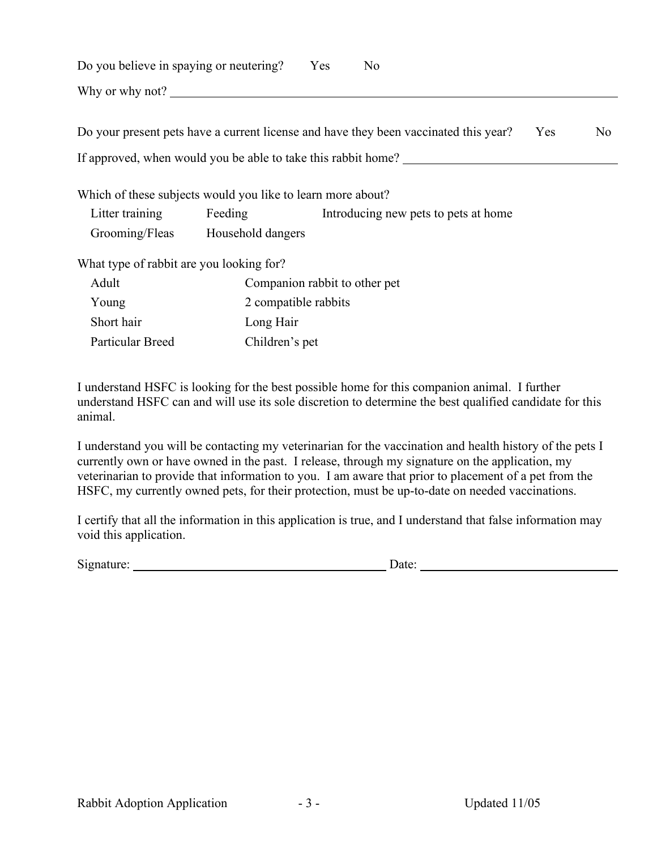| Do you believe in spaying or neutering? Yes                                    |                                             |  | N <sub>0</sub>                                                                       |     |                |
|--------------------------------------------------------------------------------|---------------------------------------------|--|--------------------------------------------------------------------------------------|-----|----------------|
| Why or why not?                                                                |                                             |  |                                                                                      |     |                |
|                                                                                |                                             |  | Do your present pets have a current license and have they been vaccinated this year? | Yes | N <sub>0</sub> |
| If approved, when would you be able to take this rabbit home?                  |                                             |  |                                                                                      |     |                |
| Which of these subjects would you like to learn more about?<br>Litter training | Feeding<br>Grooming/Fleas Household dangers |  | Introducing new pets to pets at home                                                 |     |                |
| What type of rabbit are you looking for?                                       |                                             |  |                                                                                      |     |                |
| Adult                                                                          | Companion rabbit to other pet               |  |                                                                                      |     |                |
| Young                                                                          | 2 compatible rabbits                        |  |                                                                                      |     |                |
| Short hair                                                                     | Long Hair                                   |  |                                                                                      |     |                |
| Particular Breed                                                               | Children's pet                              |  |                                                                                      |     |                |

I understand HSFC is looking for the best possible home for this companion animal. I further understand HSFC can and will use its sole discretion to determine the best qualified candidate for this animal.

I understand you will be contacting my veterinarian for the vaccination and health history of the pets I currently own or have owned in the past. I release, through my signature on the application, my veterinarian to provide that information to you. I am aware that prior to placement of a pet from the HSFC, my currently owned pets, for their protection, must be up-to-date on needed vaccinations.

I certify that all the information in this application is true, and I understand that false information may void this application.

Signature: Date: